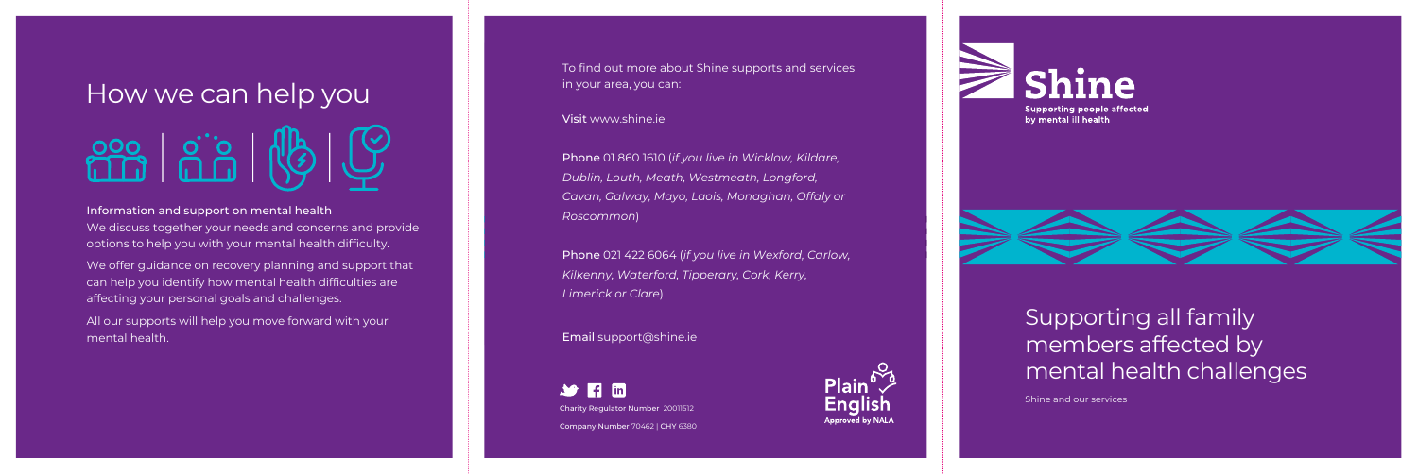We offer guidance on recovery planning and support that can help you identify how mental health difficulties are affecting your personal goals and challenges.

All our supports will help you move forward with your mental health.

To find out more about Shine supports and services in your area, you can:

# How we can help you

We discuss together your needs and concerns and provide options to help you with your mental health difficulty. Information and support on mental health

#### Visit www.shine.ie

 $\rightarrow$   $\rightarrow$   $\rightarrow$   $\rightarrow$   $\rightarrow$ Charity Regulator Number 20011512 Company Number 70462 | CHY 6380











Phone 01 860 1610 (*if you live in Wicklow, Kildare, Dublin, Louth, Meath, Westmeath, Longford, Cavan, Galway, Mayo, Laois, Monaghan, Offaly or Roscommon*)

Phone 021 422 6064 (*if you live in Wexford, Carlow, Kilkenny, Waterford, Tipperary, Cork, Kerry, Limerick or Clare*)

Email support@shine.ie

Shine and our services

### Supporting all family members affected by mental health challenges